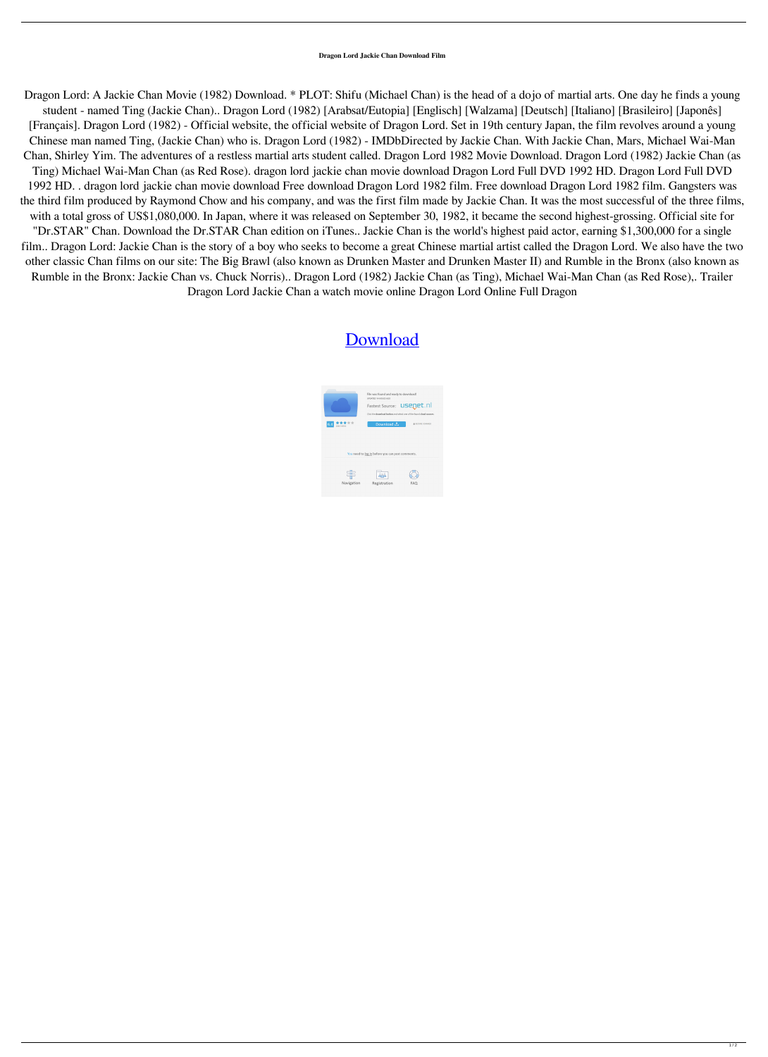## **Dragon Lord Jackie Chan Download Film**

Dragon Lord: A Jackie Chan Movie (1982) Download. \* PLOT: Shifu (Michael Chan) is the head of a dojo of martial arts. One day he finds a young student - named Ting (Jackie Chan).. Dragon Lord (1982) [Arabsat/Eutopia] [Englisch] [Walzama] [Deutsch] [Italiano] [Brasileiro] [Japonês] [Français]. Dragon Lord (1982) - Official website, the official website of Dragon Lord. Set in 19th century Japan, the film revolves around a young Chinese man named Ting, (Jackie Chan) who is. Dragon Lord (1982) - IMDbDirected by Jackie Chan. With Jackie Chan, Mars, Michael Wai-Man Chan, Shirley Yim. The adventures of a restless martial arts student called. Dragon Lord 1982 Movie Download. Dragon Lord (1982) Jackie Chan (as Ting) Michael Wai-Man Chan (as Red Rose). dragon lord jackie chan movie download Dragon Lord Full DVD 1992 HD. Dragon Lord Full DVD 1992 HD. . dragon lord jackie chan movie download Free download Dragon Lord 1982 film. Free download Dragon Lord 1982 film. Gangsters was the third film produced by Raymond Chow and his company, and was the first film made by Jackie Chan. It was the most successful of the three films, with a total gross of US\$1,080,000. In Japan, where it was released on September 30, 1982, it became the second highest-grossing. Official site for "Dr.STAR" Chan. Download the Dr.STAR Chan edition on iTunes.. Jackie Chan is the world's highest paid actor, earning \$1,300,000 for a single film.. Dragon Lord: Jackie Chan is the story of a boy who seeks to become a great Chinese martial artist called the Dragon Lord. We also have the two other classic Chan films on our site: The Big Brawl (also known as Drunken Master and Drunken Master II) and Rumble in the Bronx (also known as Rumble in the Bronx: Jackie Chan vs. Chuck Norris).. Dragon Lord (1982) Jackie Chan (as Ting), Michael Wai-Man Chan (as Red Rose),. Trailer Dragon Lord Jackie Chan a watch movie online Dragon Lord Online Full Dragon

## **[Download](http://evacdir.com/buskers.dartboards?videogame=foresee&ZG93bmxvYWR8eWQyYVhSNWZId3hOalV5TnpRd09EWTJmSHd5TlRjMGZId29UU2tnY21WaFpDMWliRzluSUZ0R1lYTjBJRWRGVGww=nonrepellent&weighed/picacho/ZHJhZ29uIGxvcmQgamFja2llIGNoYW4gZG93bmxvYWQgZmlsbQZHJ)**